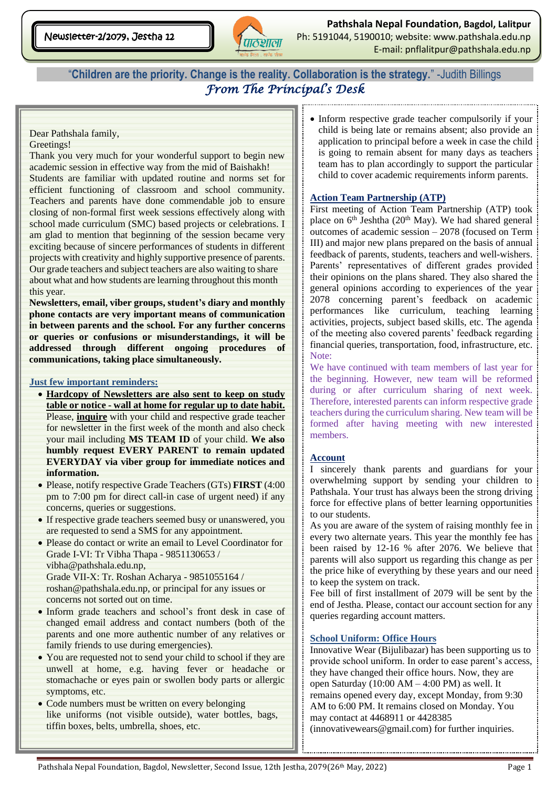

"**Children are the priority. Change is the reality. Collaboration is the strategy.**" -Judith Billings *From The Principal's Desk* 

#### Dear Pathshala family,

#### Greetings!

Thank you very much for your wonderful support to begin new academic session in effective way from the mid of Baishakh! Students are familiar with updated routine and norms set for efficient functioning of classroom and school community. Teachers and parents have done commendable job to ensure closing of non-formal first week sessions effectively along with school made curriculum (SMC) based projects or celebrations. I am glad to mention that beginning of the session became very exciting because of sincere performances of students in different projects with creativity and highly supportive presence of parents. Our grade teachers and subject teachers are also waiting to share about what and how students are learning throughout this month this year.

**Newsletters, email, viber groups, student's diary and monthly phone contacts are very important means of communication in between parents and the school. For any further concerns or queries or confusions or misunderstandings, it will be addressed through different ongoing procedures of communications, taking place simultaneously.** 

#### **Just few important reminders:**

- **Hardcopy of Newsletters are also sent to keep on study table or notice - wall at home for regular up to date habit.** Please, **inquire** with your child and respective grade teacher for newsletter in the first week of the month and also check your mail including **MS TEAM ID** of your child. **We also humbly request EVERY PARENT to remain updated EVERYDAY via viber group for immediate notices and information.**
- Please, notify respective Grade Teachers (GTs) **FIRST** (4:00 pm to 7:00 pm for direct call-in case of urgent need) if any concerns, queries or suggestions.
- If respective grade teachers seemed busy or unanswered, you are requested to send a SMS for any appointment.
- Please do contact or write an email to Level Coordinator for Grade I-VI: Tr Vibha Thapa - 9851130653 / [vibha@pathshala.edu.np,](mailto:vibha@pathshala.edu.np) Grade VII-X: Tr. Roshan Acharya - [9851055164 /](mailto:9851055164%20/%20roshan@pathshala.edu.np)  [roshan@pathshala.edu.np,](mailto:9851055164%20/%20roshan@pathshala.edu.np) or principal for any issues or concerns not sorted out on time.
- Inform grade teachers and school's front desk in case of changed email address and contact numbers (both of the parents and one more authentic number of any relatives or family friends to use during emergencies).
- You are requested not to send your child to school if they are unwell at home, e.g. having fever or headache or stomachache or eyes pain or swollen body parts or allergic symptoms, etc.
- Code numbers must be written on every belonging like uniforms (not visible outside), water bottles, bags, tiffin boxes, belts, umbrella, shoes, etc.

• Inform respective grade teacher compulsorily if your child is being late or remains absent; also provide an application to principal before a week in case the child is going to remain absent for many days as teachers team has to plan accordingly to support the particular child to cover academic requirements inform parents.

#### **Action Team Partnership (ATP)**

First meeting of Action Team Partnership (ATP) took place on  $6<sup>th</sup>$  Jeshtha (20<sup>th</sup> May). We had shared general outcomes of academic session – 2078 (focused on Term III) and major new plans prepared on the basis of annual feedback of parents, students, teachers and well-wishers. Parents' representatives of different grades provided their opinions on the plans shared. They also shared the general opinions according to experiences of the year 2078 concerning parent's feedback on academic performances like curriculum, teaching learning activities, projects, subject based skills, etc. The agenda of the meeting also covered parents' feedback regarding financial queries, transportation, food, infrastructure, etc. Note:

We have continued with team members of last year for the beginning. However, new team will be reformed during or after curriculum sharing of next week. Therefore, interested parents can inform respective grade teachers during the curriculum sharing. New team will be formed after having meeting with new interested members.

### **Account**

I sincerely thank parents and guardians for your overwhelming support by sending your children to Pathshala. Your trust has always been the strong driving force for effective plans of better learning opportunities to our students.

As you are aware of the system of raising monthly fee in every two alternate years. This year the monthly fee has been raised by 12-16 % after 2076. We believe that parents will also support us regarding this change as per the price hike of everything by these years and our need to keep the system on track.

Fee bill of first installment of 2079 will be sent by the end of Jestha. Please, contact our account section for any queries regarding account matters.

### **School Uniform: Office Hours**

Innovative Wear (Bijulibazar) has been supporting us to provide school uniform. In order to ease parent's access, they have changed their office hours. Now, they are open Saturday (10:00 AM – 4:00 PM) as well. It remains opened every day, except Monday, from 9:30 AM to 6:00 PM. It remains closed on Monday. You may contact at 4468911 or 4428385 [\(innovativewears@gmail.com\)](mailto:innovativewears@gmail.com) for further inquiries.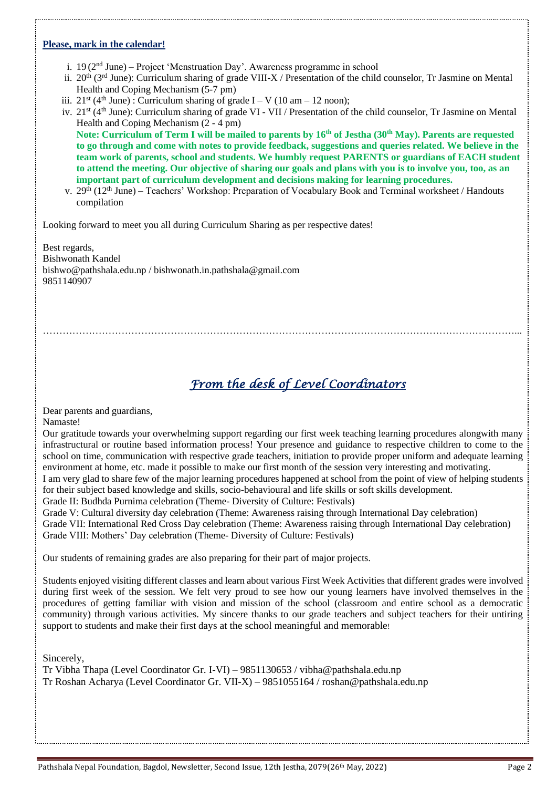#### **Please, mark in the calendar!**

- i.  $19(2<sup>nd</sup> June) Project 'Menstruction Day'. Awareness programme in school$
- ii. 20<sup>th</sup> (3<sup>rd</sup> June): Curriculum sharing of grade VIII-X / Presentation of the child counselor, Tr Jasmine on Mental Health and Coping Mechanism (5-7 pm)
- iii.  $21^{st}$  (4<sup>th</sup> June): Curriculum sharing of grade I V (10 am 12 noon);
- iv. 21<sup>st</sup> (4<sup>th</sup> June): Curriculum sharing of grade VI VII / Presentation of the child counselor, Tr Jasmine on Mental Health and Coping Mechanism (2 - 4 pm)

**Note: Curriculum of Term I will be mailed to parents by 16th of Jestha (30th May). Parents are requested to go through and come with notes to provide feedback, suggestions and queries related. We believe in the team work of parents, school and students. We humbly request PARENTS or guardians of EACH student to attend the meeting. Our objective of sharing our goals and plans with you is to involve you, too, as an important part of curriculum development and decisions making for learning procedures.** 

v.  $29<sup>th</sup> (12<sup>th</sup> June) - Teachers' Workshop: Preparation of Vocabulary Book and Terminal worksheet / Handbook$ compilation

Looking forward to meet you all during Curriculum Sharing as per respective dates!

Best regards, Bishwonath Kandel [bishwo@pathshala.edu.np](mailto:bishwo@pathshala.edu.np) / bishwonath.in.pathshala@gmail.com 9851140907

## *From the desk of Level Coordinators*

Dear parents and guardians,

Namaste!

Our gratitude towards your overwhelming support regarding our first week teaching learning procedures alongwith many infrastructural or routine based information process! Your presence and guidance to respective children to come to the school on time, communication with respective grade teachers, initiation to provide proper uniform and adequate learning environment at home, etc. made it possible to make our first month of the session very interesting and motivating.

………………………………………………………………………………………………………………………………...

I am very glad to share few of the major learning procedures happened at school from the point of view of helping students for their subject based knowledge and skills, socio-behavioural and life skills or soft skills development.

Grade II: Budhda Purnima celebration (Theme- Diversity of Culture: Festivals)

Grade V: Cultural diversity day celebration (Theme: Awareness raising through International Day celebration) Grade VII: International Red Cross Day celebration (Theme: Awareness raising through International Day celebration) Grade VIII: Mothers' Day celebration (Theme- Diversity of Culture: Festivals)

Our students of remaining grades are also preparing for their part of major projects.

Students enjoyed visiting different classes and learn about various First Week Activities that different grades were involved during first week of the session. We felt very proud to see how our young learners have involved themselves in the procedures of getting familiar with vision and mission of the school (classroom and entire school as a democratic community) through various activities. My sincere thanks to our grade teachers and subject teachers for their untiring support to students and make their first days at the school meaningful and memorable!

Sincerely,

Tr Vibha Thapa (Level Coordinator Gr. I-VI) – 9851130653 / vibha@pathshala.edu.np Tr Roshan Acharya (Level Coordinator Gr. VII-X) – 9851055164 / [roshan@pathshala.edu.np](mailto:roshan@pathshala.edu.np)